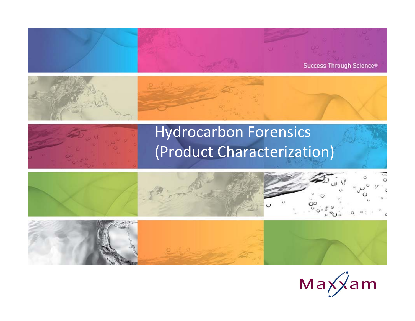







## Hydrocarbon Forensics (Product Characterization)





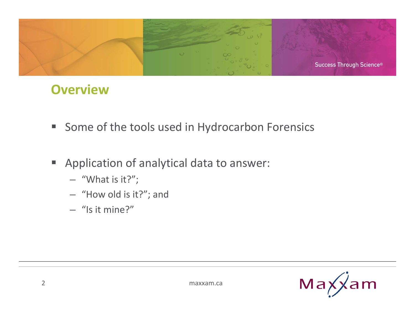

#### **Overview**

- **Some of the tools used in Hydrocarbon Forensics**
- $\Box$  . Application of analytical data to answer:
	- "What is it?";
	- "How old is it?"; and
	- "Is it mine?"

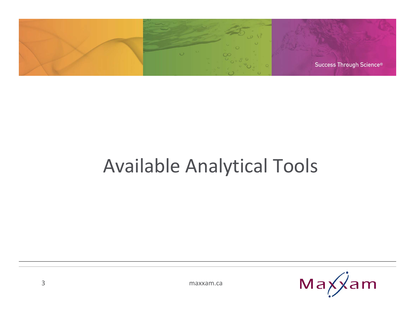

# Available Analytical Tools

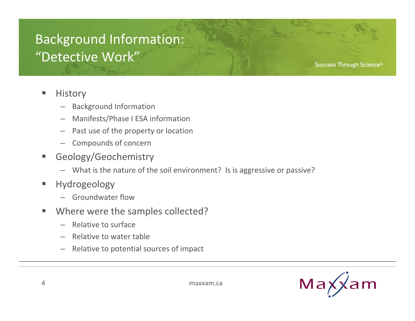### Background Information: "Detective Work"

**Success Through Science®** 

#### ш **History**

- Background Information
- Manifests/Phase I ESA information
- Past use of the property or location
- Compounds of concern
- F Geology/Geochemistry
	- What is the nature of the soil environment? Is is aggressive or passive?
- **I**  Hydrogeology
	- Groundwater flow
- ■ Where were the samples collected?
	- Relative to surface
	- Relative to water table
	- Relative to potential sources of impact

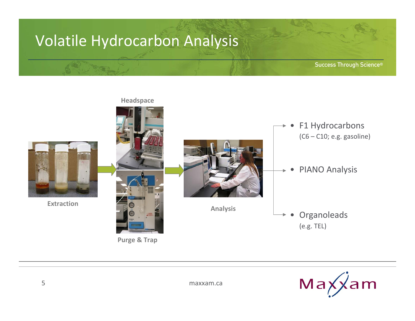### Volatile Hydrocarbon Analysis



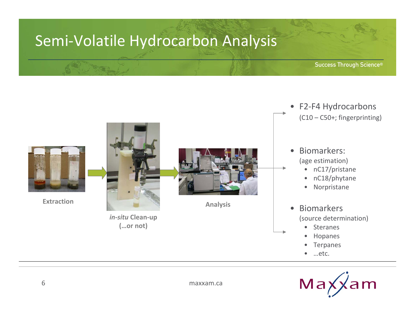## Semi‐Volatile Hydrocarbon Analysis



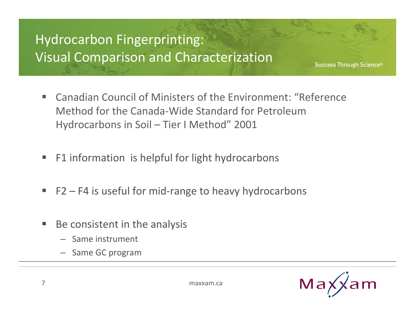## Hydrocarbon Fingerprinting: Visual Comparison and Characterization

- $\mathbf{r}$  Canadian Council of Ministers of the Environment: "Reference Method for the Canada‐Wide Standard for PetroleumHydrocarbons in Soil – Tier I Method" 2001
- $\blacksquare$ **F1** information is helpful for light hydrocarbons
- F2 F4 is useful for mid-range to heavy hydrocarbons
- $\blacksquare$ **Be consistent in the analysis** 
	- Same instrument
	- Same GC program

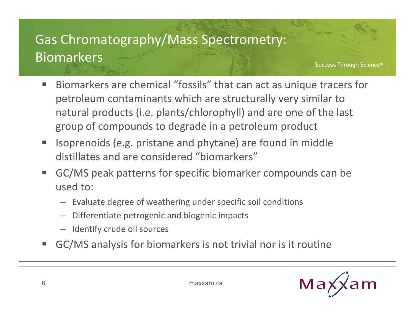## Gas Chromatography/Mass Spectrometry: Biomarkers

- e. ■ Biomarkers are chemical "fossils" that can act as unique tracers for petroleum contaminants which are structurally very similar to natural products (i.e. plants/chlorophyll) and are one of the last group of compounds to degrade in <sup>a</sup> petroleum product
- $\blacksquare$  Isoprenoids (e.g. pristane and phytane) are found in middle distillates and are considered "biomarkers"
- P. GC/MS peak patterns for specific biomarker compounds can be used to:
	- Evaluate degree of weathering under specific soil conditions
	- Differentiate petrogenic and biogenic impacts
	- Identify crude oil sources
- e. GC/MS analysis for biomarkers is not trivial nor is it routine

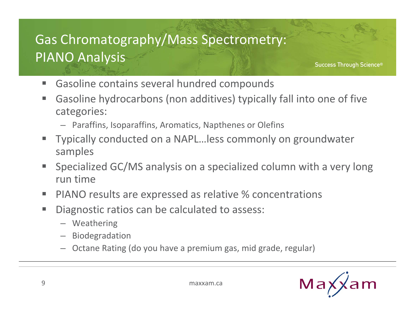## Gas Chromatography/Mass Spectrometry: PIANO Analysis

- $\blacksquare$ Gasoline contains several hundred compounds
- **The State**  Gasoline hydrocarbons (non additives) typically fall into one of five categories:
	- Paraffins, Isoparaffins, Aromatics, Napthenes or Olefins
- Ŧ Typically conducted on <sup>a</sup> NAPL…less commonly on groundwater samples
- e. Specialized GC/MS analysis on <sup>a</sup> specialized column with <sup>a</sup> very long run time
- e. **PIANO results are expressed as relative % concentrations**
- п Diagnostic ratios can be calculated to assess:
	- Weathering
	- Biodegradation
	- Octane Rating (do you have <sup>a</sup> premium gas, mid grade, regular)

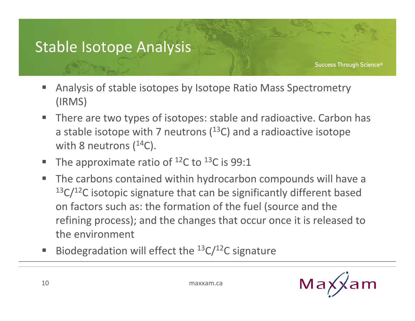## Stable Isotope Analysis

- e. Analysis of stable isotopes by Isotope Ratio Mass Spectrometry (IRMS)
- $\blacksquare$ ■ There are two types of isotopes: stable and radioactive. Carbon has a stable isotope with 7 neutrons ( $^{13}$ C) and a radioactive isotope with 8 neutrons ( $^{14}$ C).
- e. The approximate ratio of  $^{12}$ C to  $^{13}$ C is 99:1
- $\blacksquare$ ■ The carbons contained within hydrocarbon compounds will have a  $13C/12C$  isotopic signature that can be significantly different based on factors such as: the formation of the fuel (source and the refining process); and the changes that occur once it is released to the environment
- e. Biodegradation will effect the  $^{13}C/^{12}C$  signature

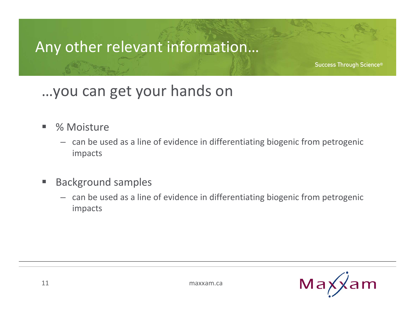## Any other relevant information…

Success Through Science®

## …you can get your hands on

- ■ % Moisture
	- can be used as <sup>a</sup> line of evidence in differentiating biogenic from petrogenic impacts
- e. Background samples
	- can be used as <sup>a</sup> line of evidence in differentiating biogenic from petrogenic impacts

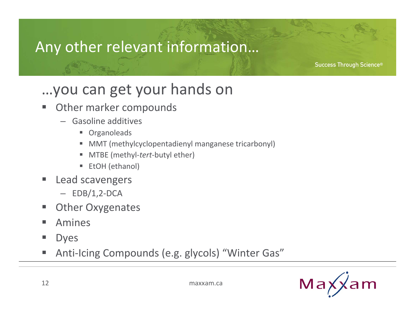## Any other relevant information…

Success Through Science®

## …you can get your hands on

- e. Other marker compounds
	- Gasoline additives
		- Organoleads
		- MMT (methylcyclopentadienyl manganese tricarbonyl)
		- ш ■ MTBE (methyl-*tert*-butyl ether)
		- $\blacksquare$ ■ EtOH (ethanol)
- e. **Lead scavengers** 
	- $-$  EDB/1,2-DCA
- e. Other Oxygenates
- e. Amines
- e. Dyes
- e. Anti-Icing Compounds (e.g. glycols) "Winter Gas"

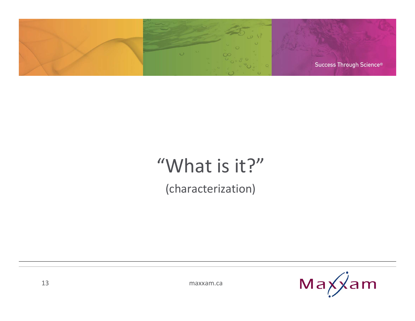

## "What is it?"

(characterization)

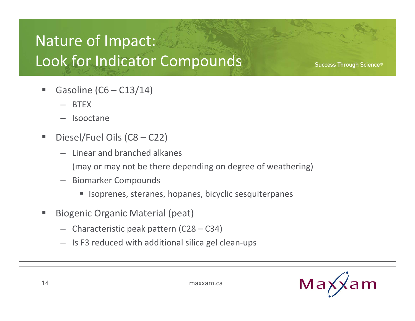## Nature of Impact: Look for Indicator Compounds

- Gasoline  $(C6 - C13/14)$ 
	- BTEX
	- Isooctane
- F Diesel/Fuel Oils (C8 – C22)
	- Linear and branched alkanes
		- (may or may not be there depending on degree of weathering)
	- Biomarker Compounds
		- $\blacksquare$ Isoprenes, steranes, hopanes, bicyclic sesquiterpanes
- F Biogenic Organic Material (peat)
	- Characteristic peak pattern (C28 C34)
	- Is F3 reduced with additional silica gel clean‐ups

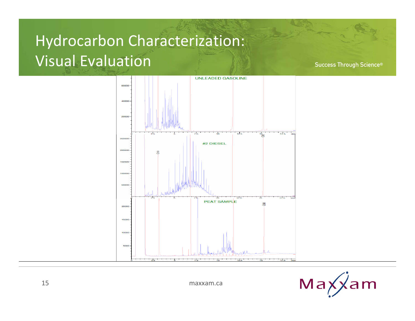## Hydrocarbon Characterization: Visual Evaluation

Success Through Science®





maxxam.ca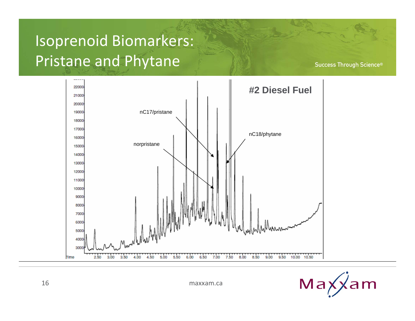## Isoprenoid Biomarkers: Pristane and Phytane



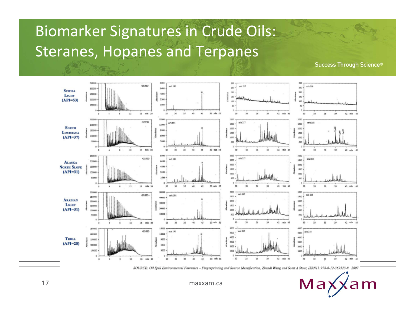## Biomarker Signatures in Crude Oils: Steranes, Hopanes and Terpanes

Success Through Science®



SOURCE: Oil Spill Environmental Forensics - Fingerprinting and Source Identification, Zhendi Wang and Scott A Stout, ISBN13:978-0-12-369523-9. 2007



maxxam.ca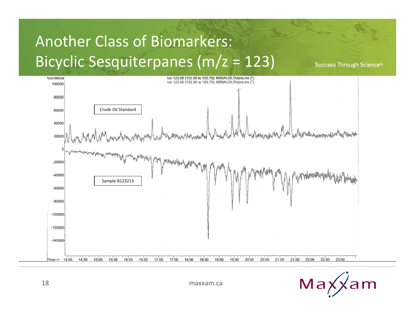## Another Class of Biomarkers: Bicyclic Sesquiterpanes (m/z <sup>=</sup> 123)



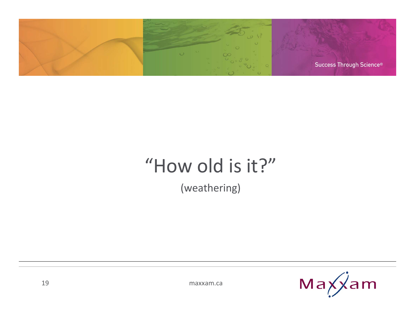

## "How old is it?"

(weathering)

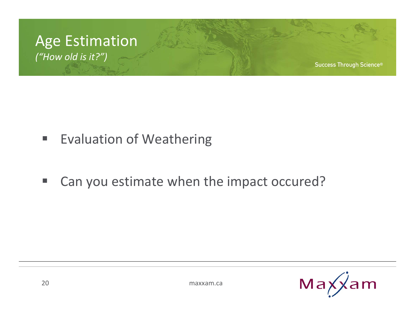

- **In the Evaluation of Weathering**
- $\blacksquare$ ■ Can you estimate when the impact occured?

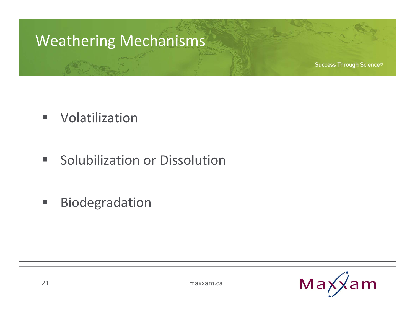## Weathering Mechanisms

- $\blacksquare$ Volatilization
- п Solubilization or Dissolution
- $\blacksquare$ Biodegradation

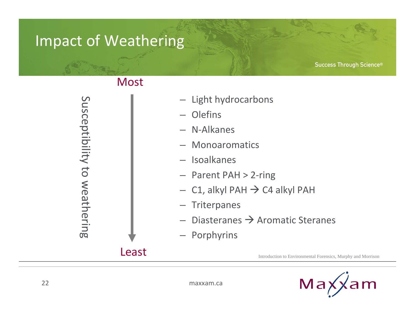## Impact of Weathering

Success Through Science®

Susceptibility to weathering

#### Most

- Light hydrocarbons
- Olefins
- N‐Alkanes
- Monoaromatics
- Isoalkanes
- Parent PAH <sup>&</sup>gt; 2‐ring
- $-$  C1, alkyl PAH  $\rightarrow$  C4 alkyl PAH
- Triterpanes
- $-$  Diasteranes  $\rightarrow$  Aromatic Steranes
- Porphyrins

Least

Introduction to Environmental Forensics, Murphy and Morrison

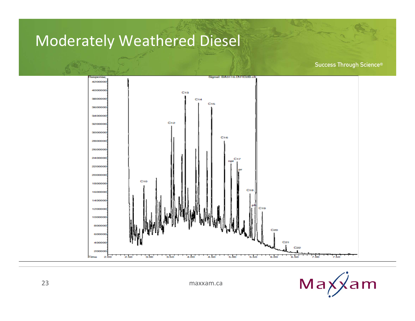### Moderately Weathered Diesel



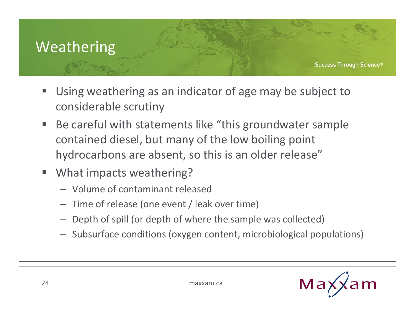## Weathering

- $\Box$  Using weathering as an indicator of age may be subject to considerable scrutiny
- $\blacksquare$ ■ Be careful with statements like "this groundwater sample contained diesel, but many of the low boiling point hydrocarbons are absent, so this is an older release"
- I. What impacts weathering?
	- Volume of contaminant released
	- Time of release (one event / leak over time)
	- Depth of spill (or depth of where the sample was collected)
	- Subsurface conditions (oxygen content, microbiological populations)

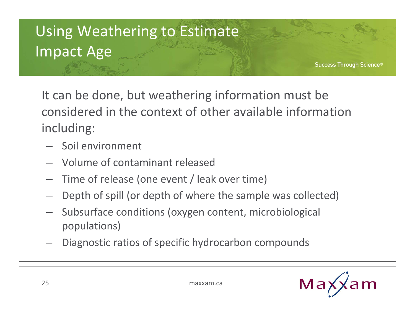## Using Weathering to Estimate Impact Age

Success Through Science®

It can be done, but weathering information must be considered in the context of other available information including:

- Soil environment
- Volume of contaminant released
- Time of release (one event / leak over time)
- Depth of spill (or depth of where the sample was collected)
- Subsurface conditions (oxygen content, microbiological populations)
- Diagnostic ratios of specific hydrocarbon compounds

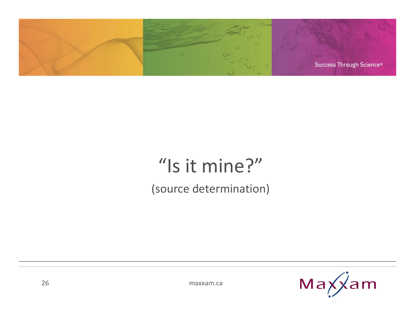

## "Is it mine?" (source determination)

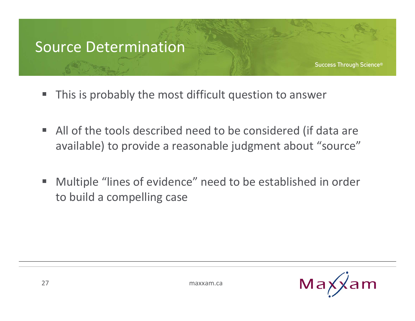#### Source Determination

- $\overline{\phantom{a}}$ This is probably the most difficult question to answer
- All of the tools described need to be considered (if data are available) to provide <sup>a</sup> reasonable judgment about "source"
- **The State**  Multiple "lines of evidence" need to be established in order to build <sup>a</sup> compelling case

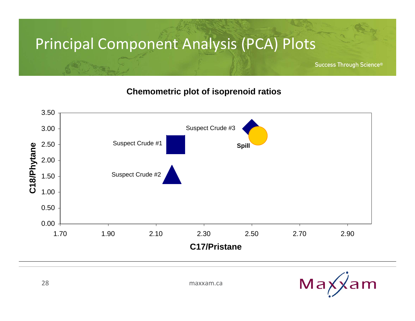## Principal Component Analysis (PCA) Plots

Success Through Science®

#### **Chemometric plot of isoprenoid ratios**



Max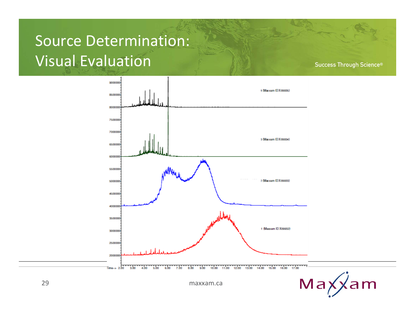## Source Determination: Visual Evaluation

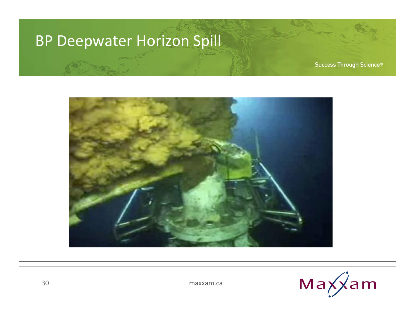#### BP Deepwater Horizon Spill



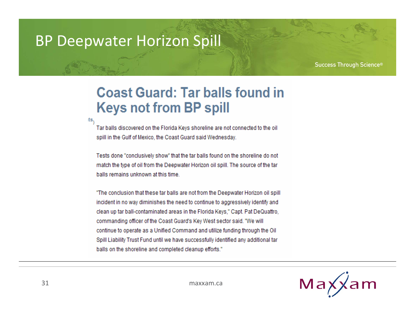#### BP Deepwater Horizon Spill

íts,

Success Through Science®

#### **Coast Guard: Tar balls found in Keys not from BP spill**

Tar balls discovered on the Florida Keys shoreline are not connected to the oil spill in the Gulf of Mexico, the Coast Guard said Wednesday.

Tests done "conclusively show" that the tar balls found on the shoreline do not match the type of oil from the Deepwater Horizon oil spill. The source of the tar balls remains unknown at this time.

"The conclusion that these tar balls are not from the Deepwater Horizon oil spill incident in no way diminishes the need to continue to aggressively identify and clean up tar ball-contaminated areas in the Florida Keys," Capt. Pat DeQuattro. commanding officer of the Coast Guard's Key West sector said. "We will continue to operate as a Unified Command and utilize funding through the Oil Spill Liability Trust Fund until we have successfully identified any additional tar balls on the shoreline and completed cleanup efforts."

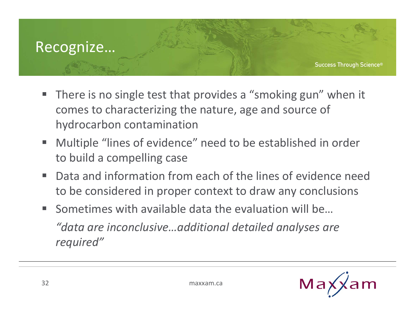#### Recognize…

- $\blacksquare$ ■ There is no single test that provides a "smoking gun" when it comes to characterizing the nature, age and source of hydrocarbon contamination
- Multiple "lines of evidence" need to be established in order to build <sup>a</sup> compelling case
- $\mathbf{r}$ ■ Data and information from each of the lines of evidence need to be considered in proper context to draw any conclusions
- Sometimes with available data the evaluation will be... *"data are inconclusive…additional detailed analyses are required"*